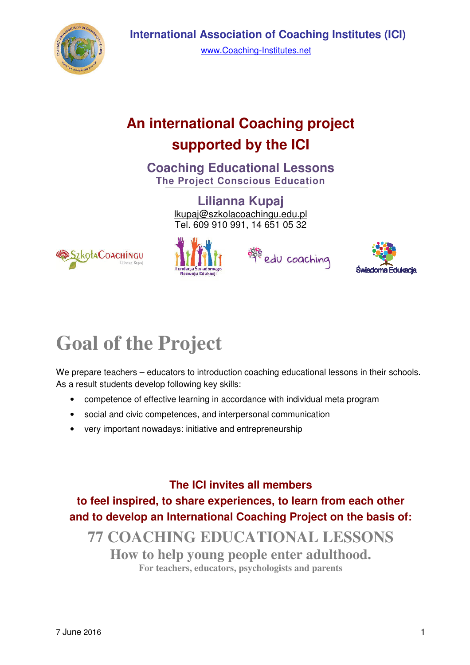

### **An international Coaching project supported by the ICI**

**Coaching Educational Lessons The Project Conscious Education** 

> **Lilianna Kupaj**  lkupaj@szkolacoachingu.edu.pl Tel. 609 910 991, 14 651 05 32









# **Goal of the Project**

We prepare teachers – educators to introduction coaching educational lessons in their schools. As a result students develop following key skills:

- competence of effective learning in accordance with individual meta program
- social and civic competences, and interpersonal communication
- very important nowadays: initiative and entrepreneurship

**The ICI invites all members to feel inspired, to share experiences, to learn from each other and to develop an International Coaching Project on the basis of:** 

**77 COACHING EDUCATIONAL LESSONS How to help young people enter adulthood. For teachers, educators, psychologists and parents**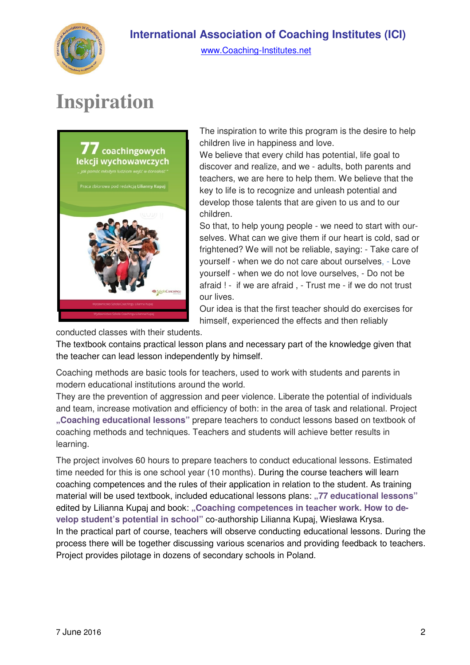

## **Inspiration**



The inspiration to write this program is the desire to help children live in happiness and love.

We believe that every child has potential, life goal to discover and realize, and we - adults, both parents and teachers, we are here to help them. We believe that the key to life is to recognize and unleash potential and develop those talents that are given to us and to our children.

So that, to help young people - we need to start with ourselves. What can we give them if our heart is cold, sad or frightened? We will not be reliable, saying: - Take care of yourself - when we do not care about ourselves, - Love yourself - when we do not love ourselves, - Do not be afraid ! - if we are afraid , - Trust me - if we do not trust our lives.

Our idea is that the first teacher should do exercises for himself, experienced the effects and then reliably

conducted classes with their students.

The textbook contains practical lesson plans and necessary part of the knowledge given that the teacher can lead lesson independently by himself.

Coaching methods are basic tools for teachers, used to work with students and parents in modern educational institutions around the world.

They are the prevention of aggression and peer violence. Liberate the potential of individuals and team, increase motivation and efficiency of both: in the area of task and relational. Project **"Coaching educational lessons"** prepare teachers to conduct lessons based on textbook of coaching methods and techniques. Teachers and students will achieve better results in learning.

The project involves 60 hours to prepare teachers to conduct educational lessons. Estimated time needed for this is one school year (10 months). During the course teachers will learn coaching competences and the rules of their application in relation to the student. As training material will be used textbook, included educational lessons plans: "77 educational lessons" edited by Lilianna Kupaj and book: "Coaching competences in teacher work. How to de**velop student's potential in school"** co-authorship Lilianna Kupaj, Wiesława Krysa. In the practical part of course, teachers will observe conducting educational lessons. During the process there will be together discussing various scenarios and providing feedback to teachers. Project provides pilotage in dozens of secondary schools in Poland.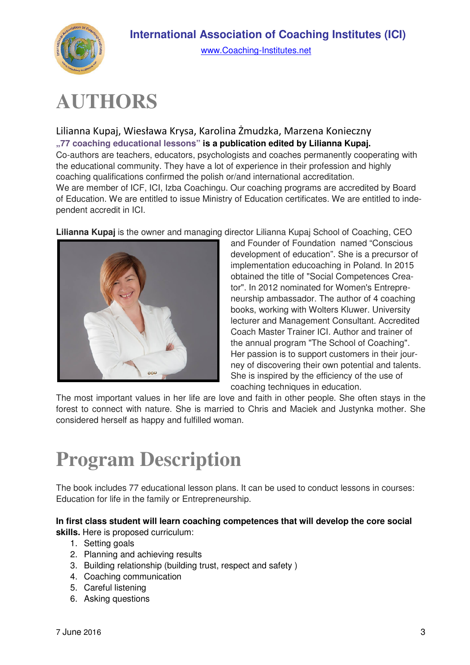



www.Coaching-Institutes.net

# **AUTHORS**

Lilianna Kupaj, Wiesława Krysa, Karolina Żmudzka, Marzena Konieczny **"77 coaching educational lessons" is a publication edited by Lilianna Kupaj.**  Co-authors are teachers, educators, psychologists and coaches permanently cooperating with the educational community. They have a lot of experience in their profession and highly coaching qualifications confirmed the polish or/and international accreditation. We are member of ICF, ICI, Izba Coachingu. Our coaching programs are accredited by Board of Education. We are entitled to issue Ministry of Education certificates. We are entitled to independent accredit in ICI.

**Lilianna Kupaj** is the owner and managing director Lilianna Kupaj School of Coaching, CEO



and Founder of Foundation named "Conscious development of education". She is a precursor of implementation educoaching in Poland. In 2015 obtained the title of "Social Competences Creator". In 2012 nominated for Women's Entrepreneurship ambassador. The author of 4 coaching books, working with Wolters Kluwer. University lecturer and Management Consultant. Accredited Coach Master Trainer ICI. Author and trainer of the annual program "The School of Coaching". Her passion is to support customers in their journey of discovering their own potential and talents. She is inspired by the efficiency of the use of coaching techniques in education.

The most important values in her life are love and faith in other people. She often stays in the forest to connect with nature. She is married to Chris and Maciek and Justynka mother. She considered herself as happy and fulfilled woman.

## **Program Description**

The book includes 77 educational lesson plans. It can be used to conduct lessons in courses: Education for life in the family or Entrepreneurship.

**In first class student will learn coaching competences that will develop the core social skills.** Here is proposed curriculum:

- 1. Setting goals
- 2. Planning and achieving results
- 3. Building relationship (building trust, respect and safety )
- 4. Coaching communication
- 5. Careful listening
- 6. Asking questions